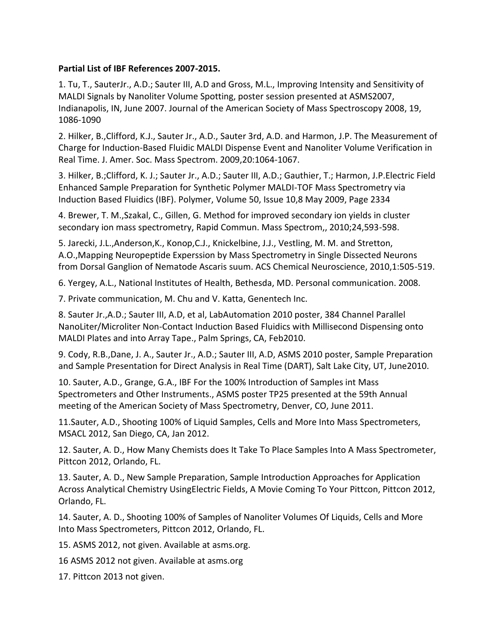## **Partial List of IBF References 2007-2015.**

1. Tu, T., SauterJr., A.D.; Sauter III, A.D and Gross, M.L., Improving Intensity and Sensitivity of MALDI Signals by Nanoliter Volume Spotting, poster session presented at ASMS2007, Indianapolis, IN, June 2007. Journal of the American Society of Mass Spectroscopy 2008, 19, 1086-1090

2. Hilker, B.,Clifford, K.J., Sauter Jr., A.D., Sauter 3rd, A.D. and Harmon, J.P. The Measurement of Charge for Induction-Based Fluidic MALDI Dispense Event and Nanoliter Volume Verification in Real Time. J. Amer. Soc. Mass Spectrom. 2009,20:1064-1067.

3. Hilker, B.;Clifford, K. J.; Sauter Jr., A.D.; Sauter III, A.D.; Gauthier, T.; Harmon, J.P.Electric Field Enhanced Sample Preparation for Synthetic Polymer MALDI-TOF Mass Spectrometry via Induction Based Fluidics (IBF). Polymer, Volume 50, Issue 10,8 May 2009, Page 2334

4. Brewer, T. M.,Szakal, C., Gillen, G. Method for improved secondary ion yields in cluster secondary ion mass spectrometry, Rapid Commun. Mass Spectrom,, 2010;24,593-598.

5. Jarecki, J.L.,Anderson,K., Konop,C.J., Knickelbine, J.J., Vestling, M. M. and Stretton, A.O.,Mapping Neuropeptide Experssion by Mass Spectrometry in Single Dissected Neurons from Dorsal Ganglion of Nematode Ascaris suum. ACS Chemical Neuroscience, 2010,1:505-519.

6. Yergey, A.L., National Institutes of Health, Bethesda, MD. Personal communication. 2008.

7. Private communication, M. Chu and V. Katta, Genentech Inc.

8. Sauter Jr.,A.D.; Sauter III, A.D, et al, LabAutomation 2010 poster, 384 Channel Parallel NanoLiter/Microliter Non-Contact Induction Based Fluidics with Millisecond Dispensing onto MALDI Plates and into Array Tape., Palm Springs, CA, Feb2010.

9. Cody, R.B.,Dane, J. A., Sauter Jr., A.D.; Sauter III, A.D, ASMS 2010 poster, Sample Preparation and Sample Presentation for Direct Analysis in Real Time (DART), Salt Lake City, UT, June2010.

10. Sauter, A.D., Grange, G.A., IBF For the 100% Introduction of Samples int Mass Spectrometers and Other Instruments., ASMS poster TP25 presented at the 59th Annual meeting of the American Society of Mass Spectrometry, Denver, CO, June 2011.

11.Sauter, A.D., Shooting 100% of Liquid Samples, Cells and More Into Mass Spectrometers, MSACL 2012, San Diego, CA, Jan 2012.

12. Sauter, A. D., How Many Chemists does It Take To Place Samples Into A Mass Spectrometer, Pittcon 2012, Orlando, FL.

13. Sauter, A. D., New Sample Preparation, Sample Introduction Approaches for Application Across Analytical Chemistry UsingElectric Fields, A Movie Coming To Your Pittcon, Pittcon 2012, Orlando, FL.

14. Sauter, A. D., Shooting 100% of Samples of Nanoliter Volumes Of Liquids, Cells and More Into Mass Spectrometers, Pittcon 2012, Orlando, FL.

15. ASMS 2012, not given. Available at asms.org.

16 ASMS 2012 not given. Available at asms.org

17. Pittcon 2013 not given.